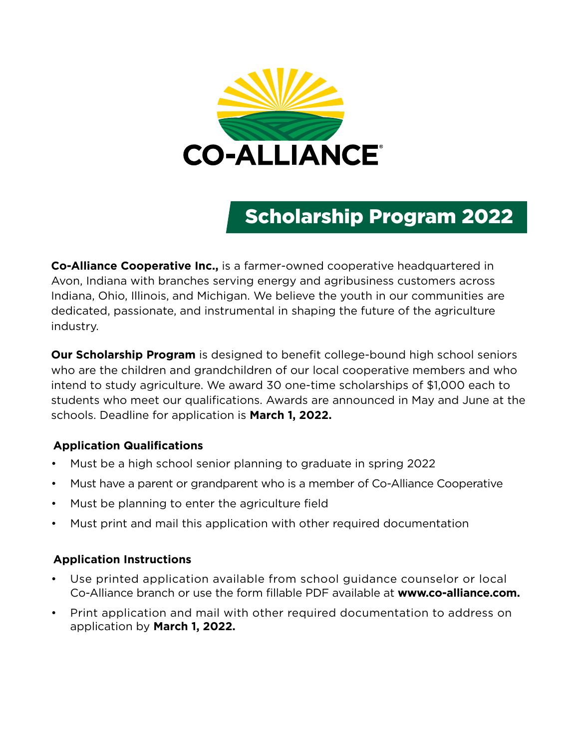

# Scholarship Program 2022

**Co-Alliance Cooperative Inc.,** is a farmer-owned cooperative headquartered in Avon, Indiana with branches serving energy and agribusiness customers across Indiana, Ohio, Illinois, and Michigan. We believe the youth in our communities are dedicated, passionate, and instrumental in shaping the future of the agriculture industry.

**Our Scholarship Program** is designed to benefit college-bound high school seniors who are the children and grandchildren of our local cooperative members and who intend to study agriculture. We award 30 one-time scholarships of \$1,000 each to students who meet our qualifications. Awards are announced in May and June at the schools. Deadline for application is **March 1, 2022.**

### **Application Qualifications**

- Must be a high school senior planning to graduate in spring 2022
- Must have a parent or grandparent who is a member of Co-Alliance Cooperative
- Must be planning to enter the agriculture field
- Must print and mail this application with other required documentation

### **Application Instructions**

- Use printed application available from school guidance counselor or local Co-Alliance branch or use the form fillable PDF available at **www.co-alliance.com.**
- Print application and mail with other required documentation to address on application by **March 1, 2022.**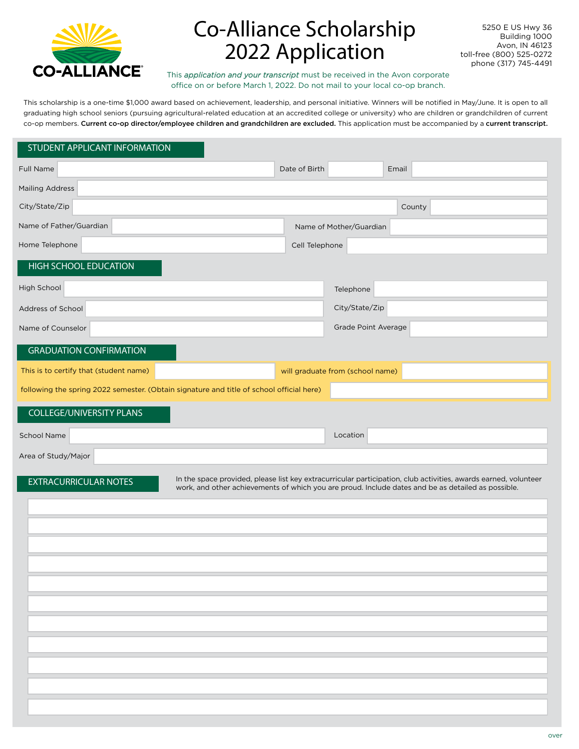

# Co-Alliance Scholarship 2022 Application

5250 E US Hwy 36 Building 1000 Avon, IN 46123 toll-free (800) 525-0272 phone (317) 745-4491

This *application and your transcript* must be received in the Avon corporate office on or before March 1, 2022. Do not mail to your local co-op branch.

This scholarship is a one-time \$1,000 award based on achievement, leadership, and personal initiative. Winners will be notified in May/June. It is open to all graduating high school seniors (pursuing agricultural-related education at an accredited college or university) who are children or grandchildren of current co-op members. Current co-op director/employee children and grandchildren are excluded. This application must be accompanied by a current transcript.

#### STUDENT APPLICANT INFORMATION

| Full Name                                                                                                                                                                                                                                             | Date of Birth  |                                  | Email  |  |
|-------------------------------------------------------------------------------------------------------------------------------------------------------------------------------------------------------------------------------------------------------|----------------|----------------------------------|--------|--|
| <b>Mailing Address</b>                                                                                                                                                                                                                                |                |                                  |        |  |
| City/State/Zip                                                                                                                                                                                                                                        |                |                                  | County |  |
| Name of Father/Guardian                                                                                                                                                                                                                               |                | Name of Mother/Guardian          |        |  |
| Home Telephone                                                                                                                                                                                                                                        | Cell Telephone |                                  |        |  |
| <b>HIGH SCHOOL EDUCATION</b>                                                                                                                                                                                                                          |                |                                  |        |  |
| High School                                                                                                                                                                                                                                           |                | Telephone                        |        |  |
| Address of School                                                                                                                                                                                                                                     |                | City/State/Zip                   |        |  |
| Name of Counselor                                                                                                                                                                                                                                     |                | Grade Point Average              |        |  |
| <b>GRADUATION CONFIRMATION</b>                                                                                                                                                                                                                        |                |                                  |        |  |
| This is to certify that (student name)                                                                                                                                                                                                                |                | will graduate from (school name) |        |  |
| following the spring 2022 semester. (Obtain signature and title of school official here)                                                                                                                                                              |                |                                  |        |  |
| <b>COLLEGE/UNIVERSITY PLANS</b>                                                                                                                                                                                                                       |                |                                  |        |  |
| <b>School Name</b>                                                                                                                                                                                                                                    |                | Location                         |        |  |
| Area of Study/Major                                                                                                                                                                                                                                   |                |                                  |        |  |
| In the space provided, please list key extracurricular participation, club activities, awards earned, volunteer<br><b>EXTRACURRICULAR NOTES</b><br>work, and other achievements of which you are proud. Include dates and be as detailed as possible. |                |                                  |        |  |
|                                                                                                                                                                                                                                                       |                |                                  |        |  |
|                                                                                                                                                                                                                                                       |                |                                  |        |  |
|                                                                                                                                                                                                                                                       |                |                                  |        |  |
|                                                                                                                                                                                                                                                       |                |                                  |        |  |
|                                                                                                                                                                                                                                                       |                |                                  |        |  |
|                                                                                                                                                                                                                                                       |                |                                  |        |  |
|                                                                                                                                                                                                                                                       |                |                                  |        |  |
|                                                                                                                                                                                                                                                       |                |                                  |        |  |
|                                                                                                                                                                                                                                                       |                |                                  |        |  |
|                                                                                                                                                                                                                                                       |                |                                  |        |  |
|                                                                                                                                                                                                                                                       |                |                                  |        |  |